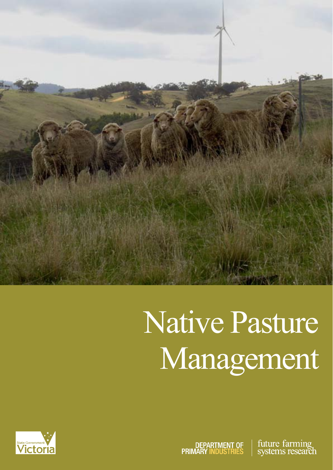

# Native Pasture Management

future farming DEPARTMENT OF<br>PRIMARY INDUSTRIES systems research

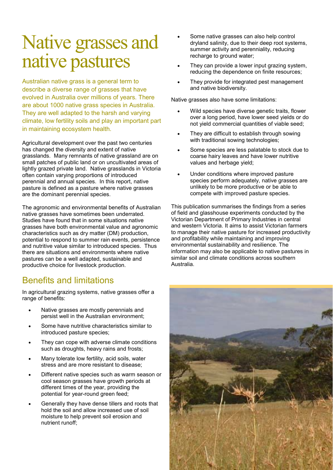### Native grasses and native pastures

Australian native grass is a general term to describe a diverse range of grasses that have evolved in Australia over millions of years. There are about 1000 native grass species in Australia. They are well adapted to the harsh and varying climate, low fertility soils and play an important part in maintaining ecosystem health.

Agricultural development over the past two centuries has changed the diversity and extent of native grasslands. Many remnants of native grassland are on small patches of public land or on uncultivated areas of lightly grazed private land. Native grasslands in Victoria often contain varying proportions of introduced perennial and annual species. In this report, native pasture is defined as a pasture where native grasses are the dominant perennial species.

The agronomic and environmental benefits of Australian native grasses have sometimes been underrated. Studies have found that in some situations native grasses have both environmental value and agronomic characteristics such as dry matter (DM) production, potential to respond to summer rain events, persistence and nutritive value similar to introduced species. Thus there are situations and environments where native pastures can be a well adapted, sustainable and productive choice for livestock production.

#### Benefits and limitations

In agricultural grazing systems, native grasses offer a range of benefits:

- Native grasses are mostly perennials and persist well in the Australian environment;
- Some have nutritive characteristics similar to introduced pasture species;
- They can cope with adverse climate conditions such as droughts, heavy rains and frosts;
- Many tolerate low fertility, acid soils, water stress and are more resistant to disease;
- Different native species such as warm season or cool season grasses have growth periods at different times of the year, providing the potential for year-round green feed;
- Generally they have dense tillers and roots that hold the soil and allow increased use of soil moisture to help prevent soil erosion and nutrient runoff;
- Some native grasses can also help control dryland salinity, due to their deep root systems, summer activity and perenniality, reducing recharge to ground water;
- They can provide a lower input grazing system, reducing the dependence on finite resources;
- They provide for integrated pest management and native biodiversity.

Native grasses also have some limitations:

- Wild species have diverse genetic traits, flower over a long period, have lower seed yields or do not yield commercial quantities of viable seed;
- They are difficult to establish through sowing with traditional sowing technologies;
- Some species are less palatable to stock due to coarse hairy leaves and have lower nutritive values and herbage yield;
- Under conditions where improved pasture species perform adequately, native grasses are unlikely to be more productive or be able to compete with improved pasture species.

This publication summarises the findings from a series of field and glasshouse experiments conducted by the Victorian Department of Primary Industries in central and western Victoria. It aims to assist Victorian farmers to manage their native pasture for increased productivity and profitability while maintaining and improving environmental sustainability and resilience. The information may also be applicable to native pastures in similar soil and climate conditions across southern Australia.

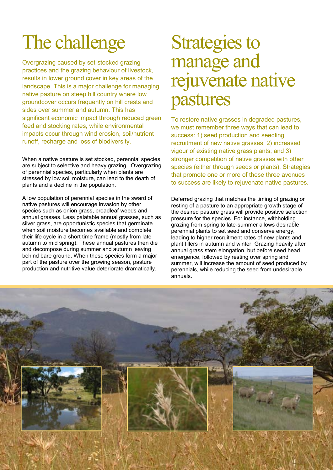# The challenge

Overgrazing caused by set-stocked grazing practices and the grazing behaviour of livestock, results in lower ground cover in key areas of the landscape. This is a major challenge for managing native pasture on steep hill country where low groundcover occurs frequently on hill crests and sides over summer and autumn. This has significant economic impact through reduced green feed and stocking rates, while environmental impacts occur through wind erosion, soil/nutrient runoff, recharge and loss of biodiversity.

When a native pasture is set stocked, perennial species are subject to selective and heavy grazing. Overgrazing of perennial species, particularly when plants are stressed by low soil moisture, can lead to the death of plants and a decline in the population.

A low population of perennial species in the sward of native pastures will encourage invasion by other species such as onion grass, broadleaf weeds and annual grasses. Less palatable annual grasses, such as silver grass, are opportunistic species that germinate when soil moisture becomes available and complete their life cycle in a short time frame (mostly from late autumn to mid spring). These annual pastures then die and decompose during summer and autumn leaving behind bare ground. When these species form a major part of the pasture over the growing season, pasture production and nutritive value deteriorate dramatically.

### Strategies to manage and rejuvenate native pastures

To restore native grasses in degraded pastures, we must remember three ways that can lead to success: 1) seed production and seedling recruitment of new native grasses; 2) increased vigour of existing native grass plants; and 3) stronger competition of native grasses with other species (either through seeds or plants). Strategies that promote one or more of these three avenues to success are likely to rejuvenate native pastures.

Deferred grazing that matches the timing of grazing or resting of a pasture to an appropriate growth stage of the desired pasture grass will provide positive selection pressure for the species. For instance, withholding grazing from spring to late-summer allows desirable perennial plants to set seed and conserve energy, leading to higher recruitment rates of new plants and plant tillers in autumn and winter. Grazing heavily after annual grass stem elongation, but before seed head emergence, followed by resting over spring and summer, will increase the amount of seed produced by perennials, while reducing the seed from undesirable annuals.

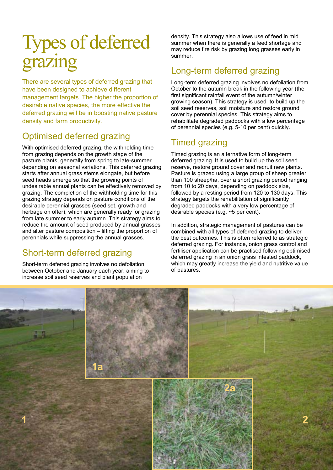### Types of deferred grazing

There are several types of deferred grazing that have been designed to achieve different management targets. The higher the proportion of desirable native species, the more effective the deferred grazing will be in boosting native pasture density and farm productivity.

#### Optimised deferred grazing

With optimised deferred grazing, the withholding time from grazing depends on the growth stage of the pasture plants, generally from spring to late-summer depending on seasonal variations. This deferred grazing starts after annual grass stems elongate, but before seed heads emerge so that the growing points of undesirable annual plants can be effectively removed by grazing. The completion of the withholding time for this grazing strategy depends on pasture conditions of the desirable perennial grasses (seed set, growth and herbage on offer), which are generally ready for grazing from late summer to early autumn. This strategy aims to reduce the amount of seed produced by annual grasses and alter pasture composition – lifting the proportion of perennials while suppressing the annual grasses.

### Short-term deferred grazing

Short-term deferred grazing involves no defoliation between October and January each year, aiming to increase soil seed reserves and plant population

density. This strategy also allows use of feed in mid summer when there is generally a feed shortage and may reduce fire risk by grazing long grasses early in summer.

#### Long-term deferred grazing

Long-term deferred grazing involves no defoliation from October to the autumn break in the following year (the first significant rainfall event of the autumn/winter growing season). This strategy is used to build up the soil seed reserves, soil moisture and restore ground cover by perennial species. This strategy aims to rehabilitate degraded paddocks with a low percentage of perennial species (e.g. 5-10 per cent) quickly.

#### Timed grazing

Timed grazing is an alternative form of long-term deferred grazing. It is used to build up the soil seed reserve, restore ground cover and recruit new plants. Pasture is grazed using a large group of sheep greater than 100 sheep/ha, over a short grazing period ranging from 10 to 20 days, depending on paddock size, followed by a resting period from 120 to 130 days. This strategy targets the rehabilitation of significantly degraded paddocks with a very low percentage of desirable species (e.g. ~5 per cent).

In addition, strategic management of pastures can be combined with all types of deferred grazing to deliver the best outcomes. This is often referred to as strategic deferred grazing. For instance, onion grass control and fertiliser application can be practised following optimised deferred grazing in an onion grass infested paddock, which may greatly increase the yield and nutritive value of pastures.

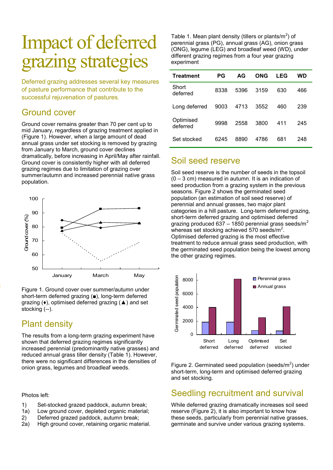### Impact of deferred grazing strategies

Deferred grazing addresses several key measures of pasture performance that contribute to the successful rejuvenation of pastures.

#### Ground cover

Ground cover remains greater than 70 per cent up to mid January, regardless of grazing treatment applied in (Figure 1). However, when a large amount of dead annual grass under set stocking is removed by grazing from January to March, ground cover declines dramatically, before increasing in April/May after rainfall. Ground cover is consistently higher with all deferred grazing regimes due to limitation of grazing over summer/autumn and increased perennial native grass population.



Figure 1. Ground cover over summer/autumn under short-term deferred grazing (■), long-term deferred grazing (♦), optimised deferred grazing (▲) and set stocking (--).

#### Plant density

The results from a long-term grazing experiment have shown that deferred grazing regimes significantly increased perennial (predominantly native grasses) and reduced annual grass tiller density (Table 1). However, there were no significant differences in the densities of onion grass, legumes and broadleaf weeds.

Photos left:

- 1) Set-stocked grazed paddock, autumn break;
- 1a) Low ground cover, depleted organic material;
- 2) Deferred grazed paddock, autumn break;
- 2a) High ground cover, retaining organic material.

Table 1. Mean plant density (tillers or plants/ $m<sup>2</sup>$ ) of perennial grass (PG), annual grass (AG), onion grass (ONG), legume (LEG) and broadleaf weed (WD), under different grazing regimes from a four year grazing experiment

| <b>Treatment</b>      | РG   | AG   | ONG  | LEG | WD  |
|-----------------------|------|------|------|-----|-----|
| Short<br>deferred     | 8338 | 5396 | 3159 | 630 | 466 |
| Long deferred         | 9003 | 4713 | 3552 | 460 | 239 |
| Optimised<br>deferred | 9998 | 2558 | 3800 | 411 | 245 |
| Set stocked           | 6245 | 8890 | 4786 | 681 | 248 |

#### Soil seed reserve

Soil seed reserve is the number of seeds in the topsoil (0 – 3 cm) measured in autumn. It is an indication of seed production from a grazing system in the previous seasons. Figure 2 shows the germinated seed population (an estimation of soil seed reserve) of perennial and annual grasses, two major plant categories in a hill pasture. Long-term deferred grazing, short-term deferred grazing and optimised deferred grazing produced 637 – 1850 perennial grass seeds/ $m^2$ whereas set stocking achieved 570 seeds/ $m^2$ . Optimised deferred grazing is the most effective treatment to reduce annual grass seed production, with the germinated seed population being the lowest among the other grazing regimes.



Figure 2. Germinated seed population (seeds/ $m^2$ ) under short-term, long-term and optimised deferred grazing and set stocking.

#### Seedling recruitment and survival

While deferred grazing dramatically increases soil seed reserve (Figure 2), it is also important to know how these seeds, particularly from perennial native grasses, germinate and survive under various grazing systems.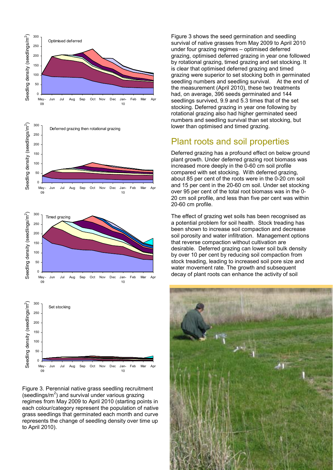

Figure 3. Perennial native grass seedling recruitment (seedlings/ $m<sup>2</sup>$ ) and survival under various grazing regimes from May 2009 to April 2010 (starting points in each colour/category represent the population of native grass seedlings that germinated each month and curve represents the change of seedling density over time up to April 2010).

Figure 3 shows the seed germination and seedling survival of native grasses from May 2009 to April 2010 under four grazing regimes – optimised deferred grazing, optimised deferred grazing in year one followed by rotational grazing, timed grazing and set stocking. It is clear that optimised deferred grazing and timed grazing were superior to set stocking both in germinated seedling numbers and seedling survival. At the end of the measurement (April 2010), these two treatments had, on average, 396 seeds germinated and 144 seedlings survived, 9.9 and 5.3 times that of the set stocking. Deferred grazing in year one following by rotational grazing also had higher germinated seed numbers and seedling survival than set stocking, but lower than optimised and timed grazing.

#### Plant roots and soil properties

Deferred grazing has a profound effect on below ground plant growth. Under deferred grazing root biomass was increased more deeply in the 0-60 cm soil profile compared with set stocking. With deferred grazing, about 85 per cent of the roots were in the 0-20 cm soil and 15 per cent in the 20-60 cm soil. Under set stocking over 95 per cent of the total root biomass was in the 0- 20 cm soil profile, and less than five per cent was within 20-60 cm profile.

The effect of grazing wet soils has been recognised as a potential problem for soil health. Stock treading has been shown to increase soil compaction and decrease soil porosity and water infiltration. Management options that reverse compaction without cultivation are desirable. Deferred grazing can lower soil bulk density by over 10 per cent by reducing soil compaction from stock treading, leading to increased soil pore size and water movement rate. The growth and subsequent decay of plant roots can enhance the activity of soil

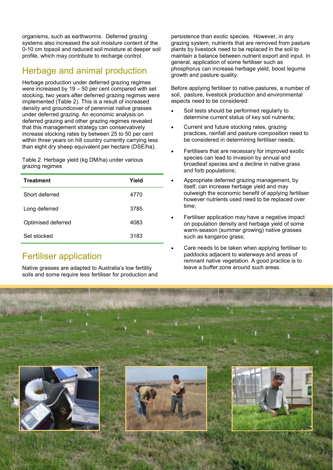organisms, such as earthworms. Deferred grazing systems also increased the soil moisture content of the 0-10 cm topsoil and reduced soil moisture at deeper soil profile, which may contribute to recharge control.

#### Herbage and animal production

Herbage production under deferred grazing regimes were increased by 19 – 50 per cent compared with set stocking, two years after deferred grazing regimes were implemented (Table 2). This is a result of increased density and groundcover of perennial native grasses under deferred grazing. An economic analysis on deferred grazing and other grazing regimes revealed that this management strategy can conservatively increase stocking rates by between 25 to 50 per cent within three years on hill country currently carrying less than eight dry sheep equivalent per hectare (DSE/ha).

Table 2. Herbage yield (kg DM/ha) under various grazing regimes

| <b>Treatment</b>   | Yield |
|--------------------|-------|
| Short deferred     | 4770  |
| Long deferred      | 3785  |
| Optimised deferred | 4083  |
| Set stocked        | 3183  |

#### Fertiliser application

Native grasses are adapted to Australia's low fertility soils and some require less fertiliser for production and persistence than exotic species. However, in any grazing system, nutrients that are removed from pasture plants by livestock need to be replaced in the soil to maintain a balance between nutrient export and input. In general, application of some fertiliser such as phosphorus can increase herbage yield, boost legume growth and pasture quality.

Before applying fertiliser to native pastures, a number of soil, pasture, livestock production and environmental aspects need to be considered:

- Soil tests should be performed regularly to determine current status of key soil nutrients;
- Current and future stocking rates, grazing practices, rainfall and pasture composition need to be considered in determining fertiliser needs;
- Fertilisers that are necessary for improved exotic species can lead to invasion by annual and broadleaf species and a decline in native grass and forb populations;
- Appropriate deferred grazing management, by itself, can increase herbage yield and may outweigh the economic benefit of applying fertiliser however nutrients used need to be replaced over time;
- Fertiliser application may have a negative impact on population density and herbage yield of some warm-season (summer growing) native grasses such as kangaroo grass;
- Care needs to be taken when applying fertiliser to paddocks adjacent to waterways and areas of remnant native vegetation. A good practice is to leave a buffer zone around such areas.

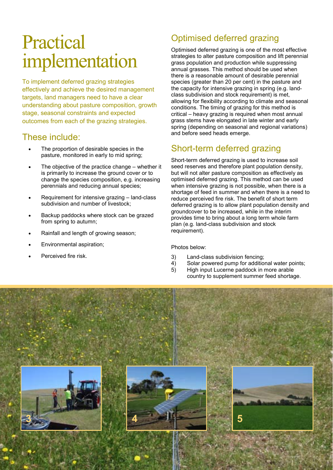### Practical implementation

To implement deferred grazing strategies effectively and achieve the desired management targets, land managers need to have a clear understanding about pasture composition, growth stage, seasonal constraints and expected outcomes from each of the grazing strategies.

#### These include:

- The proportion of desirable species in the pasture, monitored in early to mid spring;
- The objective of the practice change whether it is primarily to increase the ground cover or to change the species composition, e.g. increasing perennials and reducing annual species;
- Requirement for intensive grazing land-class subdivision and number of livestock;
- Backup paddocks where stock can be grazed from spring to autumn;
- Rainfall and length of growing season;
- Environmental aspiration;
- Perceived fire risk.

### Optimised deferred grazing

Optimised deferred grazing is one of the most effective strategies to alter pasture composition and lift perennial grass population and production while suppressing annual grasses. This method should be used when there is a reasonable amount of desirable perennial species (greater than 20 per cent) in the pasture and the capacity for intensive grazing in spring (e.g. landclass subdivision and stock requirement) is met, allowing for flexibility according to climate and seasonal conditions. The timing of grazing for this method is critical – heavy grazing is required when most annual grass stems have elongated in late winter and early spring (depending on seasonal and regional variations) and before seed heads emerge.

#### Short-term deferred grazing

Short-term deferred grazing is used to increase soil seed reserves and therefore plant population density, but will not alter pasture composition as effectively as optimised deferred grazing. This method can be used when intensive grazing is not possible, when there is a shortage of feed in summer and when there is a need to reduce perceived fire risk. The benefit of short term deferred grazing is to allow plant population density and groundcover to be increased, while in the interim provides time to bring about a long term whole farm plan (e.g. land-class subdivision and stock requirement).

#### Photos below:

- 3) Land-class subdivision fencing;
- 4) Solar powered pump for additional water points;
- 5) High input Lucerne paddock in more arable country to supplement summer feed shortage.

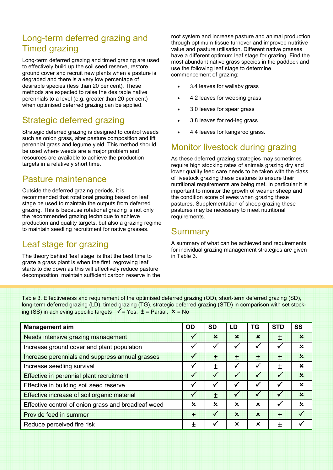#### Long-term deferred grazing and Timed grazing

Long-term deferred grazing and timed grazing are used to effectively build up the soil seed reserve, restore ground cover and recruit new plants when a pasture is degraded and there is a very low percentage of desirable species (less than 20 per cent). These methods are expected to raise the desirable native perennials to a level (e.g. greater than 20 per cent) when optimised deferred grazing can be applied.

#### Strategic deferred grazing

Strategic deferred grazing is designed to control weeds such as onion grass, alter pasture composition and lift perennial grass and legume yield. This method should be used where weeds are a major problem and resources are available to achieve the production targets in a relatively short time.

#### Pasture maintenance

Outside the deferred grazing periods, it is recommended that rotational grazing based on leaf stage be used to maintain the outputs from deferred grazing. This is because rotational grazing is not only the recommended grazing technique to achieve production and quality targets, but also a grazing regime to maintain seedling recruitment for native grasses.

#### Leaf stage for grazing

The theory behind 'leaf stage' is that the best time to graze a grass plant is when the first regrowing leaf starts to die down as this will effectively reduce pasture decomposition, maintain sufficient carbon reserve in the root system and increase pasture and animal production through optimum tissue turnover and improved nutritive value and pasture utilisation. Different native grasses have a different optimum leaf stage for grazing. Find the most abundant native grass species in the paddock and use the following leaf stage to determine commencement of grazing:

- 3.4 leaves for wallaby grass
- 4.2 leaves for weeping grass
- 3.0 leaves for spear grass
- 3.8 leaves for red-leg grass
- 4.4 leaves for kangaroo grass.

#### Monitor livestock during grazing

As these deferred grazing strategies may sometimes require high stocking rates of animals grazing dry and lower quality feed care needs to be taken with the class of livestock grazing these pastures to ensure their nutritional requirements are being met. In particular it is important to monitor the growth of weaner sheep and the condition score of ewes when grazing these pastures. Supplementation of sheep grazing these pastures may be necessary to meet nutritional requirements.

#### **Summary**

A summary of what can be achieved and requirements for individual grazing management strategies are given in Table 3.

Table 3. Effectiveness and requirement of the optimised deferred grazing (OD), short-term deferred grazing (SD), long-term deferred grazing (LD), timed grazing (TG), strategic deferred grazing (STD) in comparison with set stocking (SS) in achieving specific targets  $\checkmark$  = Yes,  $\dot{t}$  = Partial,  $\check{x}$  = No

| <b>Management aim</b>                               | <b>OD</b>    | <b>SD</b>    | LD          | TG          | <b>STD</b>   | <b>SS</b>   |
|-----------------------------------------------------|--------------|--------------|-------------|-------------|--------------|-------------|
| Needs intensive grazing management                  | $\checkmark$ | $\mathbf x$  | $\mathbf x$ | $\mathbf x$ | 士            | $\mathbf x$ |
| Increase ground cover and plant population          | ✓            | ✓            |             |             | $\checkmark$ | $\mathbf x$ |
| Increase perennials and suppress annual grasses     | ✓            | 土            | 土           | $\div$      | 土            | $\mathbf x$ |
| Increase seedling survival                          | ✔            | 土            |             |             | $\mathbf +$  | x           |
| Effective in perennial plant recruitment            | $\checkmark$ |              |             |             |              | $\mathbf x$ |
| Effective in building soil seed reserve             | ✓            |              |             | v           | $\checkmark$ | $\mathbf x$ |
| Effective increase of soil organic material         | ✓            | 士            |             |             |              | $\mathbf x$ |
| Effective control of onion grass and broadleaf weed | x            | $\mathbf x$  | $\mathbf x$ | $\mathbf x$ | $\checkmark$ | $\mathbf x$ |
| Provide feed in summer                              | 土            | $\checkmark$ | $\mathbf x$ | $\mathbf x$ | 士            |             |
| Reduce perceived fire risk                          |              |              | ×           | x           | $\mathbf +$  |             |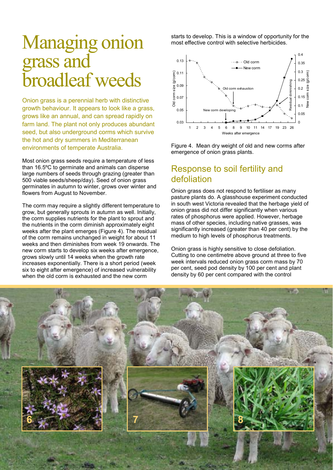### Managing onion grass and broadleaf weeds

Onion grass is a perennial herb with distinctive growth behaviour. It appears to look like a grass, grows like an annual, and can spread rapidly on farm land. The plant not only produces abundant seed, but also underground corms which survive the hot and dry summers in Mediterranean environments of temperate Australia.

Most onion grass seeds require a temperature of less than 16.5ºC to germinate and animals can disperse large numbers of seeds through grazing (greater than 500 viable seeds/sheep/day). Seed of onion grass germinates in autumn to winter, grows over winter and flowers from August to November.

The corm may require a slightly different temperature to grow, but generally sprouts in autumn as well. Initially, the corm supplies nutrients for the plant to sprout and the nutrients in the corm diminish approximately eight weeks after the plant emerges (Figure 4). The residual of the corm remains unchanged in weight for about 11 weeks and then diminishes from week 19 onwards. The new corm starts to develop six weeks after emergence, grows slowly until 14 weeks when the growth rate increases exponentially. There is a short period (week six to eight after emergence) of increased vulnerability when the old corm is exhausted and the new corm

starts to develop. This is a window of opportunity for the most effective control with selective herbicides.



Figure 4. Mean dry weight of old and new corms after emergence of onion grass plants.

#### Response to soil fertility and defoliation

Onion grass does not respond to fertiliser as many pasture plants do. A glasshouse experiment conducted in south west Victoria revealed that the herbage yield of onion grass did not differ significantly when various rates of phosphorus were applied. However, herbage mass of other species, including native grasses, was significantly increased (greater than 40 per cent) by the medium to high levels of phosphorus treatments.

Onion grass is highly sensitive to close defoliation. Cutting to one centimetre above ground at three to five week intervals reduced onion grass corm mass by 70 per cent, seed pod density by 100 per cent and plant density by 60 per cent compared with the control

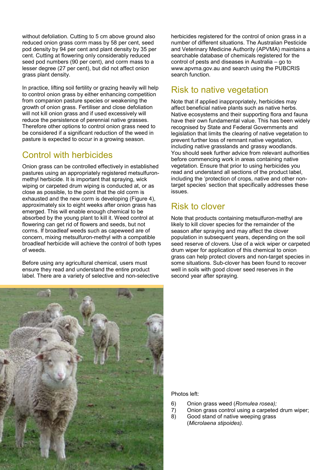without defoliation. Cutting to 5 cm above ground also reduced onion grass corm mass by 58 per cent, seed pod density by 94 per cent and plant density by 35 per cent. Cutting at flowering only considerably reduced seed pod numbers (90 per cent), and corm mass to a lesser degree (27 per cent), but did not affect onion grass plant density.

In practice, lifting soil fertility or grazing heavily will help to control onion grass by either enhancing competition from companion pasture species or weakening the growth of onion grass. Fertiliser and close defoliation will not kill onion grass and if used excessively will reduce the persistence of perennial native grasses. Therefore other options to control onion grass need to be considered if a significant reduction of the weed in pasture is expected to occur in a growing season.

#### Control with herbicides

Onion grass can be controlled effectively in established pastures using an appropriately registered metsulfuronmethyl herbicide. It is important that spraying, wick wiping or carpeted drum wiping is conducted at, or as close as possible, to the point that the old corm is exhausted and the new corm is developing (Figure 4), approximately six to eight weeks after onion grass has emerged. This will enable enough chemical to be absorbed by the young plant to kill it. Weed control at flowering can get rid of flowers and seeds, but not corms. If broadleaf weeds such as capeweed are of concern, mixing metsulfuron-methyl with a compatible broadleaf herbicide will achieve the control of both types of weeds.

Before using any agricultural chemical, users must ensure they read and understand the entire product label. There are a variety of selective and non-selective herbicides registered for the control of onion grass in a number of different situations. The Australian Pesticide and Veterinary Medicine Authority (APVMA) maintains a searchable database of chemicals registered for the control of pests and diseases in Australia – go to www.apvma.gov.au and search using the PUBCRIS search function.

#### Risk to native vegetation

Note that if applied inappropriately, herbicides may affect beneficial native plants such as native herbs. Native ecosystems and their supporting flora and fauna have their own fundamental value. This has been widely recognised by State and Federal Governments and legislation that limits the clearing of native vegetation to prevent further loss of remnant native vegetation, including native grasslands and grassy woodlands. You should seek further advice from relevant authorities before commencing work in areas containing native vegetation. Ensure that prior to using herbicides you read and understand all sections of the product label, including the 'protection of crops, native and other nontarget species' section that specifically addresses these issues.

#### Risk to clover

Note that products containing metsulfuron-methyl are likely to kill clover species for the remainder of the season after spraying and may affect the clover population in subsequent years, depending on the soil seed reserve of clovers. Use of a wick wiper or carpeted drum wiper for application of this chemical to onion grass can help protect clovers and non-target species in some situations. Sub-clover has been found to recover well in soils with good clover seed reserves in the second year after spraying.



Photos left:

- 6) Onion grass weed (Romulea rosea);
- 7) Onion grass control using a carpeted drum wiper;
- 8) Good stand of native weeping grass (Microlaena stipoides).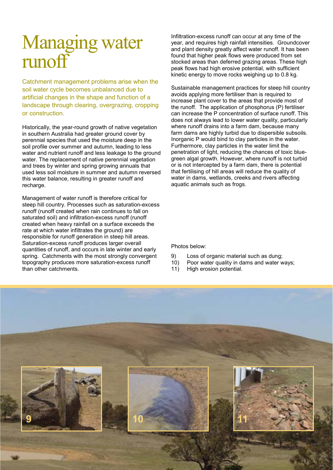### Managing water runoff

Catchment management problems arise when the soil water cycle becomes unbalanced due to artificial changes in the shape and function of a landscape through clearing, overgrazing, cropping or construction.

Historically, the year-round growth of native vegetation in southern Australia had greater ground cover by perennial species that used the moisture deep in the soil profile over summer and autumn, leading to less water and nutrient runoff and less leakage to the ground water. The replacement of native perennial vegetation and trees by winter and spring growing annuals that used less soil moisture in summer and autumn reversed this water balance, resulting in greater runoff and recharge.

Management of water runoff is therefore critical for steep hill country. Processes such as saturation-excess runoff (runoff created when rain continues to fall on saturated soil) and infiltration-excess runoff (runoff created when heavy rainfall on a surface exceeds the rate at which water infiltrates the ground) are responsible for runoff generation in steep hill areas. Saturation-excess runoff produces larger overall quantities of runoff, and occurs in late winter and early spring. Catchments with the most strongly convergent topography produces more saturation-excess runoff than other catchments.

Infiltration-excess runoff can occur at any time of the year, and requires high rainfall intensities. Groundcover and plant density greatly affect water runoff. It has been found that higher peak flows were produced from set stocked areas than deferred grazing areas. These high peak flows had high erosive potential, with sufficient kinetic energy to move rocks weighing up to 0.8 kg.

Sustainable management practices for steep hill country avoids applying more fertiliser than is required to increase plant cover to the areas that provide most of the runoff. The application of phosphorus (P) fertiliser can increase the P concentration of surface runoff. This does not always lead to lower water quality, particularly where runoff drains into a farm dam, because many farm dams are highly turbid due to dispersible subsoils. Inorganic P would bind to clay particles in the water. Furthermore, clay particles in the water limit the penetration of light, reducing the chances of toxic bluegreen algal growth. However, where runoff is not turbid or is not intercepted by a farm dam, there is potential that fertilising of hill areas will reduce the quality of water in dams, wetlands, creeks and rivers affecting aquatic animals such as frogs.

Photos below:

- 9) Loss of organic material such as dung;
- 10) Poor water quality in dams and water ways;
- 11) High erosion potential.

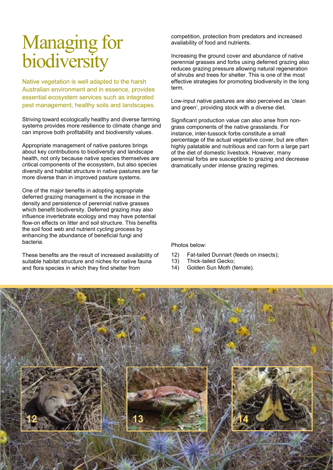### Managing for biodiversity

Native vegetation is well adapted to the harsh Australian environment and in essence, provides essential ecosystem services such as integrated pest management, healthy soils and landscapes.

Striving toward ecologically healthy and diverse farming systems provides more resilience to climate change and can improve both profitability and biodiversity values.

Appropriate management of native pastures brings about key contributions to biodiversity and landscape health, not only because native species themselves are critical components of the ecosystem, but also species diversity and habitat structure in native pastures are far more diverse than in improved pasture systems.

One of the major benefits in adopting appropriate deferred grazing management is the increase in the density and persistence of perennial native grasses which benefit biodiversity. Deferred grazing may also influence invertebrate ecology and may have potential flow-on effects on litter and soil structure. This benefits the soil food web and nutrient cycling process by enhancing the abundance of beneficial fungi and bacteria.

These benefits are the result of increased availability of suitable habitat structure and niches for native fauna and flora species in which they find shelter from

competition, protection from predators and increased availability of food and nutrients.

Increasing the ground cover and abundance of native perennial grasses and forbs using deferred grazing also reduces grazing pressure allowing natural regeneration of shrubs and trees for shelter. This is one of the most effective strategies for promoting biodiversity in the long term.

Low-input native pastures are also perceived as 'clean and green', providing stock with a diverse diet.

Significant production value can also arise from nongrass components of the native grasslands. For instance, inter-tussock forbs constitute a small percentage of the actual vegetative cover, but are often highly palatable and nutritious and can form a large part of the diet of domestic livestock. However, many perennial forbs are susceptible to grazing and decrease dramatically under intense grazing regimes.

Photos below:

- 12) Fat-tailed Dunnart (feeds on insects);
- 13) Thick-tailed Gecko;
- 14) Golden Sun Moth (female).

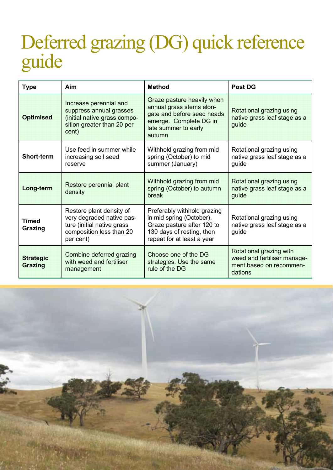### Deferred grazing (DG) quick reference guide

| <b>Type</b>                        | Aim                                                                                                                          | <b>Method</b>                                                                                                                                    | <b>Post DG</b>                                                                               |  |
|------------------------------------|------------------------------------------------------------------------------------------------------------------------------|--------------------------------------------------------------------------------------------------------------------------------------------------|----------------------------------------------------------------------------------------------|--|
| <b>Optimised</b>                   | Increase perennial and<br>suppress annual grasses<br>(initial native grass compo-<br>sition greater than 20 per<br>cent)     | Graze pasture heavily when<br>annual grass stems elon-<br>gate and before seed heads<br>emerge. Complete DG in<br>late summer to early<br>autumn | Rotational grazing using<br>native grass leaf stage as a<br>guide                            |  |
| Short-term                         | Use feed in summer while<br>increasing soil seed<br>reserve                                                                  | Withhold grazing from mid<br>spring (October) to mid<br>summer (January)                                                                         | Rotational grazing using<br>native grass leaf stage as a<br>guide                            |  |
| Long-term                          | Restore perennial plant<br>density                                                                                           | Withhold grazing from mid<br>spring (October) to autumn<br>break                                                                                 | Rotational grazing using<br>native grass leaf stage as a<br>guide                            |  |
| <b>Timed</b><br>Grazing            | Restore plant density of<br>very degraded native pas-<br>ture (initial native grass<br>composition less than 20<br>per cent) | Preferably withhold grazing<br>in mid spring (October).<br>Graze pasture after 120 to<br>130 days of resting, then<br>repeat for at least a year | Rotational grazing using<br>native grass leaf stage as a<br>guide                            |  |
| <b>Strategic</b><br><b>Grazing</b> | Combine deferred grazing<br>with weed and fertiliser<br>management                                                           | Choose one of the DG<br>strategies. Use the same<br>rule of the DG                                                                               | Rotational grazing with<br>weed and fertiliser manage-<br>ment based on recommen-<br>dations |  |

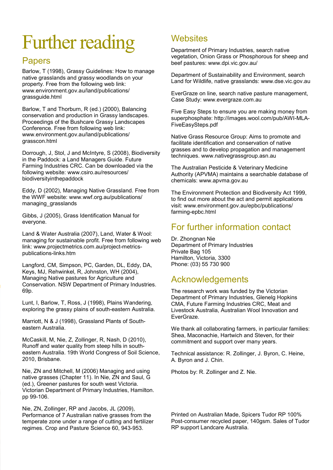# Further reading

#### Papers

Barlow, T (1998), Grassy Guidelines: How to manage native grasslands and grassy woodlands on your property. Free from the following web link: www.environment.gov.au/land/publications/ grassguide.html

Barlow, T and Thorburn, R (ed.) (2000), Balancing conservation and production in Grassy landscapes. Proceedings of the Bushcare Grassy Landscapes Conference. Free from following web link: www.environment.gov.au/land/publications/ grasscon.html

Dorrough, J, Stol, J and McIntyre, S (2008), Biodiversity in the Paddock: a Land Managers Guide. Future Farming Industries CRC. Can be downloaded via the following website: www.csiro.au/resources/ biodiversityinthepaddock

Eddy, D (2002), Managing Native Grassland. Free from the WWF website: www.wwf.org.au/publications/ managing\_grasslands

Gibbs, J (2005), Grass Identification Manual for everyone.

Land & Water Australia (2007), Land, Water & Wool: managing for sustainable profit. Free from following web link: www.projectmetrics.com.au/project-metricspublications-links.htm

Langford, CM, Simpson, PC, Garden, DL, Eddy, DA, Keys, MJ, Rehwinkel, R, Johnston, WH (2004), Managing Native pastures for Agriculture and Conservation. NSW Department of Primary Industries. 69p.

Lunt, I, Barlow, T, Ross, J (1998), Plains Wandering, exploring the grassy plains of south-eastern Australia.

Marriott, N & J (1998), Grassland Plants of Southeastern Australia.

McCaskill, M, Nie, Z, Zollinger, R, Nash, D (2010), Runoff and water quality from steep hills in southeastern Australia. 19th World Congress of Soil Science, 2010, Brisbane.

Nie, ZN and Mitchell, M (2006) Managing and using native grasses (Chapter 11). In Nie, ZN and Saul, G (ed.), Greener pastures for south west Victoria. Victorian Department of Primary Industries, Hamilton. pp 99-106.

Nie, ZN, Zollinger, RP and Jacobs, JL (2009), Performance of 7 Australian native grasses from the temperate zone under a range of cutting and fertilizer regimes. Crop and Pasture Science 60, 943-953.

#### **Websites**

Department of Primary Industries, search native vegetation, Onion Grass or Phosphorous for sheep and beef pastures: www.dpi.vic.gov.au/

Department of Sustainability and Environment, search Land for Wildlife, native grasslands: www.dse.vic.gov.au

EverGraze on line, search native pasture management, Case Study: www.evergraze.com.au

Five Easy Steps to ensure you are making money from superphosphate: http://images.wool.com/pub/AWI-MLA-FiveEasySteps.pdf

Native Grass Resource Group: Aims to promote and facilitate identification and conservation of native grasses and to develop propagation and management techniques. www.nativegrassgroup.asn.au

The Australian Pesticide & Veterinary Medicine Authority (APVMA) maintains a searchable database of chemicals: www.apvma.gov.au

The Environment Protection and Biodiversity Act 1999, to find out more about the act and permit applications visit: www.environment.gov.au/epbc/publications/ farming-epbc.html

#### For further information contact

Dr. Zhongnan Nie Department of Primary Industries Private Bag 105 Hamilton, Victoria, 3300 Phone: (03) 55 730 900

#### Acknowledgements

The research work was funded by the Victorian Department of Primary Industries, Glenelg Hopkins CMA, Future Farming Industries CRC, Meat and Livestock Australia, Australian Wool Innovation and EverGraze.

We thank all collaborating farmers, in particular families: Shea, Maconachie, Hartwich and Steven, for their commitment and support over many years.

Technical assistance: R. Zollinger, J. Byron, C. Heine, A. Byron and J. Chin.

Photos by: R. Zollinger and Z. Nie.

Printed on Australian Made, Spicers Tudor RP 100% Post-consumer recycled paper, 140gsm. Sales of Tudor RP support Landcare Australia.